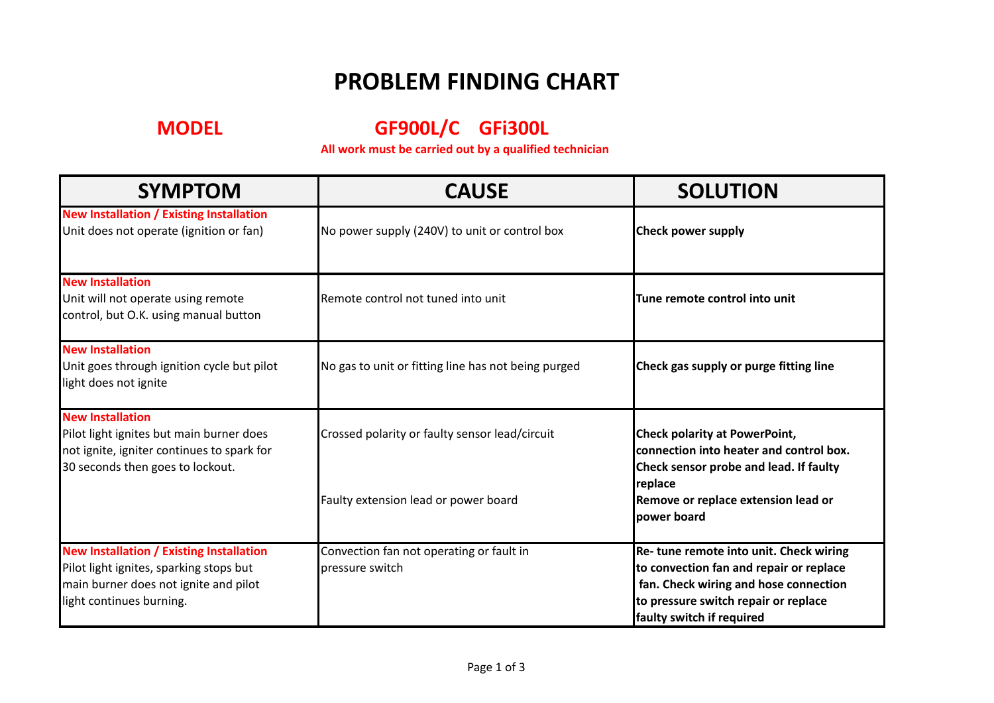## **PROBLEM FINDING CHART**

**MODEL GF900L/C GFi300L**

All work must be carried out by a qualified technician

| <b>SYMPTOM</b>                                                                                                                                                  | <b>CAUSE</b>                                                | <b>SOLUTION</b>                                                                                                                                                                                 |
|-----------------------------------------------------------------------------------------------------------------------------------------------------------------|-------------------------------------------------------------|-------------------------------------------------------------------------------------------------------------------------------------------------------------------------------------------------|
| <b>New Installation / Existing Installation</b><br>Unit does not operate (ignition or fan)                                                                      | No power supply (240V) to unit or control box               | <b>Check power supply</b>                                                                                                                                                                       |
| <b>New Installation</b><br>Unit will not operate using remote<br>control, but O.K. using manual button                                                          | Remote control not tuned into unit                          | Tune remote control into unit                                                                                                                                                                   |
| <b>New Installation</b><br>Unit goes through ignition cycle but pilot<br>light does not ignite                                                                  | No gas to unit or fitting line has not being purged         | Check gas supply or purge fitting line                                                                                                                                                          |
| <b>New Installation</b><br>Pilot light ignites but main burner does<br>not ignite, igniter continues to spark for<br>30 seconds then goes to lockout.           | Crossed polarity or faulty sensor lead/circuit              | <b>Check polarity at PowerPoint,</b><br>connection into heater and control box.<br>Check sensor probe and lead. If faulty                                                                       |
|                                                                                                                                                                 | Faulty extension lead or power board                        | replace<br>Remove or replace extension lead or<br>power board                                                                                                                                   |
| <b>New Installation / Existing Installation</b><br>Pilot light ignites, sparking stops but<br>main burner does not ignite and pilot<br>light continues burning. | Convection fan not operating or fault in<br>pressure switch | Re-tune remote into unit. Check wiring<br>to convection fan and repair or replace<br>fan. Check wiring and hose connection<br>to pressure switch repair or replace<br>faulty switch if required |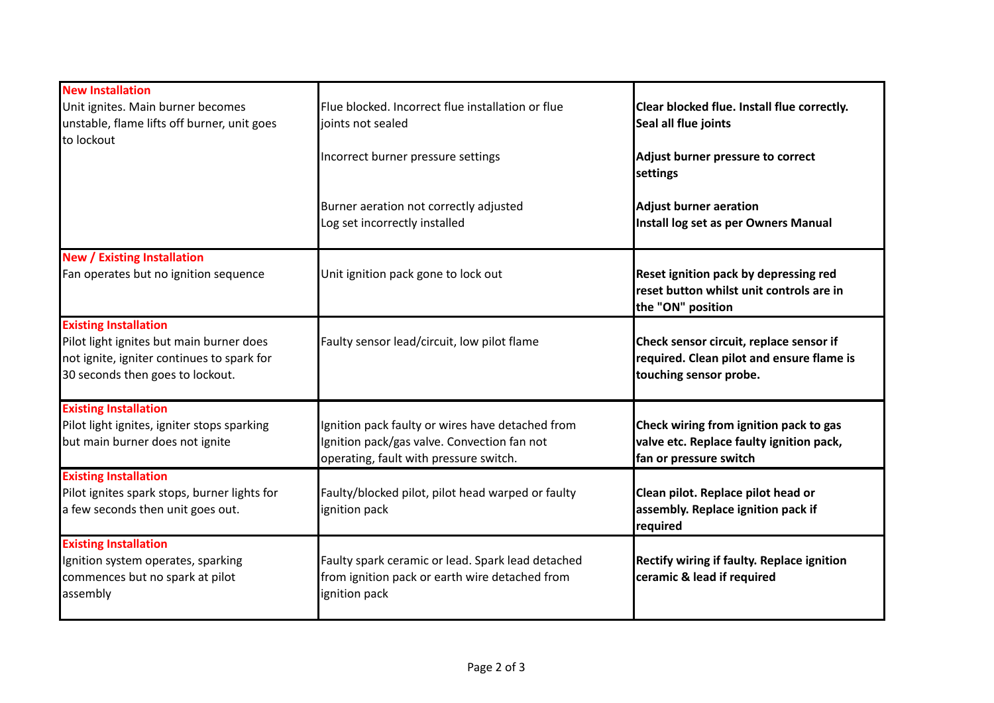| <b>New Installation</b>                                                                                                    |                                                                                                                                           |                                                                                                                |
|----------------------------------------------------------------------------------------------------------------------------|-------------------------------------------------------------------------------------------------------------------------------------------|----------------------------------------------------------------------------------------------------------------|
| Unit ignites. Main burner becomes                                                                                          | Flue blocked. Incorrect flue installation or flue                                                                                         | Clear blocked flue. Install flue correctly.                                                                    |
| unstable, flame lifts off burner, unit goes                                                                                | joints not sealed                                                                                                                         | Seal all flue joints                                                                                           |
| to lockout                                                                                                                 |                                                                                                                                           |                                                                                                                |
|                                                                                                                            | Incorrect burner pressure settings                                                                                                        | Adjust burner pressure to correct<br>settings                                                                  |
|                                                                                                                            | Burner aeration not correctly adjusted<br>Log set incorrectly installed                                                                   | <b>Adjust burner aeration</b><br>Install log set as per Owners Manual                                          |
| <b>New / Existing Installation</b>                                                                                         |                                                                                                                                           |                                                                                                                |
| Fan operates but no ignition sequence                                                                                      | Unit ignition pack gone to lock out                                                                                                       | Reset ignition pack by depressing red<br>reset button whilst unit controls are in<br>the "ON" position         |
| <b>Existing Installation</b>                                                                                               |                                                                                                                                           |                                                                                                                |
| Pilot light ignites but main burner does<br>not ignite, igniter continues to spark for<br>30 seconds then goes to lockout. | Faulty sensor lead/circuit, low pilot flame                                                                                               | Check sensor circuit, replace sensor if<br>required. Clean pilot and ensure flame is<br>touching sensor probe. |
| <b>Existing Installation</b>                                                                                               |                                                                                                                                           |                                                                                                                |
| Pilot light ignites, igniter stops sparking<br>but main burner does not ignite                                             | Ignition pack faulty or wires have detached from<br>Ignition pack/gas valve. Convection fan not<br>operating, fault with pressure switch. | Check wiring from ignition pack to gas<br>valve etc. Replace faulty ignition pack,<br>fan or pressure switch   |
| <b>Existing Installation</b>                                                                                               |                                                                                                                                           |                                                                                                                |
| Pilot ignites spark stops, burner lights for<br>a few seconds then unit goes out.                                          | Faulty/blocked pilot, pilot head warped or faulty<br>ignition pack                                                                        | Clean pilot. Replace pilot head or<br>assembly. Replace ignition pack if<br>required                           |
| <b>Existing Installation</b>                                                                                               |                                                                                                                                           |                                                                                                                |
| Ignition system operates, sparking<br>commences but no spark at pilot<br>assembly                                          | Faulty spark ceramic or lead. Spark lead detached<br>from ignition pack or earth wire detached from<br>ignition pack                      | Rectify wiring if faulty. Replace ignition<br>ceramic & lead if required                                       |